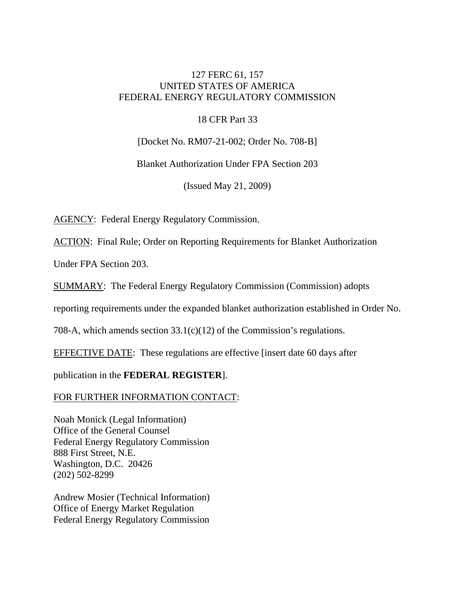# 127 FERC 61, 157 UNITED STATES OF AMERICA FEDERAL ENERGY REGULATORY COMMISSION

## 18 CFR Part 33

[Docket No. RM07-21-002; Order No. 708-B]

Blanket Authorization Under FPA Section 203

(Issued May 21, 2009)

AGENCY: Federal Energy Regulatory Commission.

ACTION: Final Rule; Order on Reporting Requirements for Blanket Authorization

Under FPA Section 203.

SUMMARY: The Federal Energy Regulatory Commission (Commission) adopts

reporting requirements under the expanded blanket authorization established in Order No.

708-A, which amends section 33.1(c)(12) of the Commission's regulations.

EFFECTIVE DATE: These regulations are effective [insert date 60 days after

publication in the **FEDERAL REGISTER**].

FOR FURTHER INFORMATION CONTACT:

Noah Monick (Legal Information) Office of the General Counsel Federal Energy Regulatory Commission 888 First Street, N.E. Washington, D.C. 20426 (202) 502-8299

Andrew Mosier (Technical Information) Office of Energy Market Regulation Federal Energy Regulatory Commission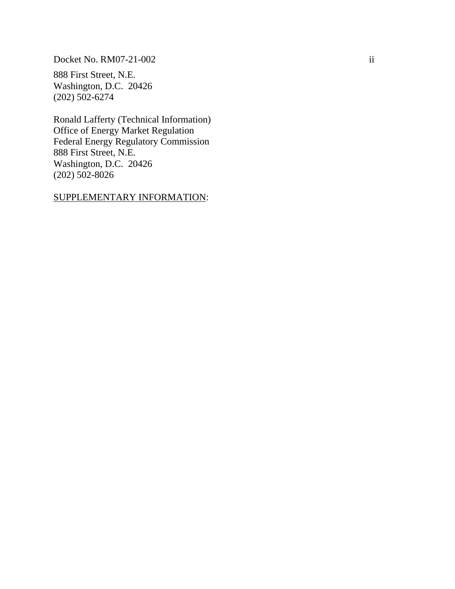Docket No. RM07-21-002 ii

888 First Street, N.E. Washington, D.C. 20426 (202) 502-6274

Ronald Lafferty (Technical Information) Office of Energy Market Regulation Federal Energy Regulatory Commission 888 First Street, N.E. Washington, D.C. 20426 (202) 502-8026

# SUPPLEMENTARY INFORMATION: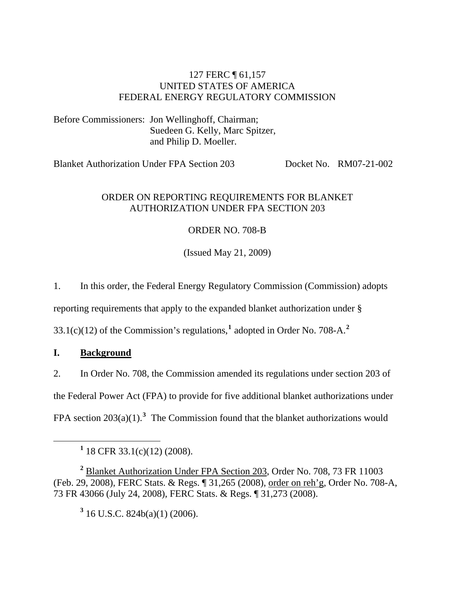# 127 FERC ¶ 61,157 UNITED STATES OF AMERICA FEDERAL ENERGY REGULATORY COMMISSION

Before Commissioners: Jon Wellinghoff, Chairman; Suedeen G. Kelly, Marc Spitzer, and Philip D. Moeller.

Blanket Authorization Under FPA Section 203 Docket No. RM07-21-002

# ORDER ON REPORTING REQUIREMENTS FOR BLANKET AUTHORIZATION UNDER FPA SECTION 203

# ORDER NO. 708-B

(Issued May 21, 2009)

1. In this order, the Federal Energy Regulatory Commission (Commission) adopts

reporting requirements that apply to the expanded blanket authorization under §

33.1(c)(12) of the Commission's regulations,**[1](#page-2-0)** adopted in Order No. 708-A.**[2](#page-2-1)**

# **I. Background**

2. In Order No. 708, the Commission amended its regulations under section 203 of the Federal Power Act (FPA) to provide for five additional blanket authorizations under FPA section  $203(a)(1)$  $203(a)(1)$  $203(a)(1)$ .<sup>3</sup> The Commission found that the blanket authorizations would

**3** 16 U.S.C. 824b(a)(1) (2006).

<span id="page-2-0"></span><sup>&</sup>lt;u>1</u>  $1$  18 CFR 33.1(c)(12) (2008).

<span id="page-2-2"></span><span id="page-2-1"></span>**<sup>2</sup>** Blanket Authorization Under FPA Section 203, Order No. 708, 73 FR 11003 (Feb. 29, 2008), FERC Stats. & Regs. ¶ 31,265 (2008), order on reh'g, Order No. 708-A, 73 FR 43066 (July 24, 2008), FERC Stats. & Regs. ¶ 31,273 (2008).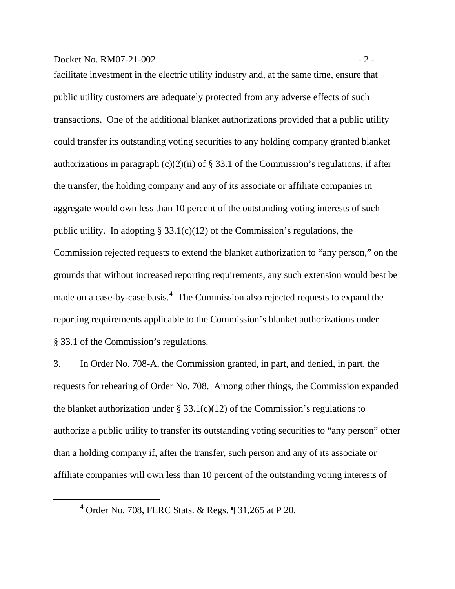## Docket No. RM07-21-002 - 2 -

facilitate investment in the electric utility industry and, at the same time, ensure that public utility customers are adequately protected from any adverse effects of such transactions. One of the additional blanket authorizations provided that a public utility could transfer its outstanding voting securities to any holding company granted blanket authorizations in paragraph  $(c)(2)(ii)$  of § 33.1 of the Commission's regulations, if after the transfer, the holding company and any of its associate or affiliate companies in aggregate would own less than 10 percent of the outstanding voting interests of such public utility. In adopting  $\S 33.1(c)(12)$  of the Commission's regulations, the Commission rejected requests to extend the blanket authorization to "any person," on the grounds that without increased reporting requirements, any such extension would best be made on a case-by-case basis.**<sup>4</sup>** The Commission also rejected requests to expand the reporting requirements applicable to the Commission's blanket authorizations under § 33.1 of the Commission's regulations.

3. In Order No. 708-A, the Commission granted, in part, and denied, in part, the requests for rehearing of Order No. 708. Among other things, the Commission expanded the blanket authorization under § 33.1(c)(12) of the Commission's regulations to authorize a public utility to transfer its outstanding voting securities to "any person" other than a holding company if, after the transfer, such person and any of its associate or affiliate companies will own less than 10 percent of the outstanding voting interests of

**<sup>4</sup>** Order No. 708, FERC Stats. & Regs. ¶ 31,265 at P 20.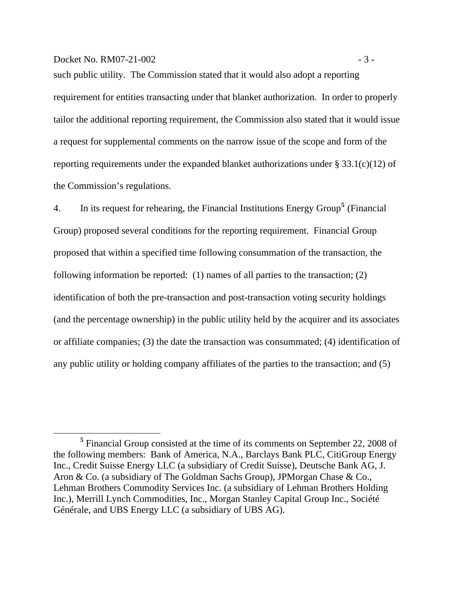#### $Dacket No. RM07-21-002$   $-3-$

such public utility. The Commission stated that it would also adopt a reporting requirement for entities transacting under that blanket authorization. In order to properly tailor the additional reporting requirement, the Commission also stated that it would issue a request for supplemental comments on the narrow issue of the scope and form of the reporting requirements under the expanded blanket authorizations under § 33.1(c)(12) of the Commission's regulations.

4. In its request for rehearing, the Financial Institutions Energy Group**[5](#page-4-0)** (Financial Group) proposed several conditions for the reporting requirement. Financial Group proposed that within a specified time following consummation of the transaction, the following information be reported: (1) names of all parties to the transaction; (2) identification of both the pre-transaction and post-transaction voting security holdings (and the percentage ownership) in the public utility held by the acquirer and its associates or affiliate companies; (3) the date the transaction was consummated; (4) identification of any public utility or holding company affiliates of the parties to the transaction; and (5)

<span id="page-4-0"></span><sup>&</sup>lt;sup>5</sup> Financial Group consisted at the time of its comments on September 22, 2008 of the following members: Bank of America, N.A., Barclays Bank PLC, CitiGroup Energy Inc., Credit Suisse Energy LLC (a subsidiary of Credit Suisse), Deutsche Bank AG, J. Aron & Co. (a subsidiary of The Goldman Sachs Group), JPMorgan Chase & Co., Lehman Brothers Commodity Services Inc. (a subsidiary of Lehman Brothers Holding Inc.), Merrill Lynch Commodities, Inc., Morgan Stanley Capital Group Inc., Société Générale, and UBS Energy LLC (a subsidiary of UBS AG).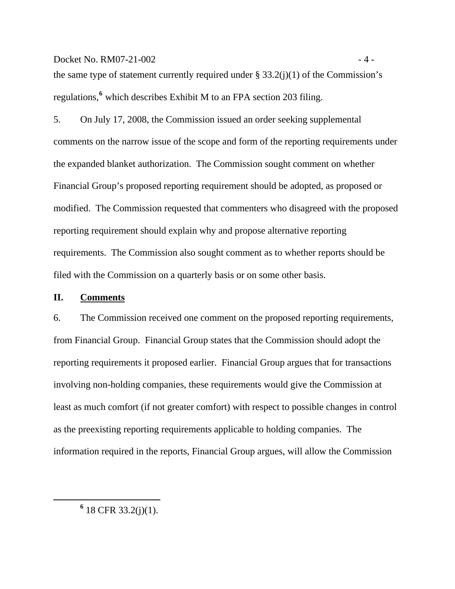$Docket No. RM07-21-002$   $-4-$ 

the same type of statement currently required under  $\S 33.2(j)(1)$  of the Commission's regulations,**<sup>6</sup>** which describes Exhibit M to an FPA section 203 filing.

5. On July 17, 2008, the Commission issued an order seeking supplemental comments on the narrow issue of the scope and form of the reporting requirements under the expanded blanket authorization. The Commission sought comment on whether Financial Group's proposed reporting requirement should be adopted, as proposed or modified. The Commission requested that commenters who disagreed with the proposed reporting requirement should explain why and propose alternative reporting requirements. The Commission also sought comment as to whether reports should be filed with the Commission on a quarterly basis or on some other basis.

#### **II. Comments**

6. The Commission received one comment on the proposed reporting requirements, from Financial Group. Financial Group states that the Commission should adopt the reporting requirements it proposed earlier. Financial Group argues that for transactions involving non-holding companies, these requirements would give the Commission at least as much comfort (if not greater comfort) with respect to possible changes in control as the preexisting reporting requirements applicable to holding companies. The information required in the reports, Financial Group argues, will allow the Commission

 **<sup>6</sup>**  $6$  18 CFR 33.2(j)(1).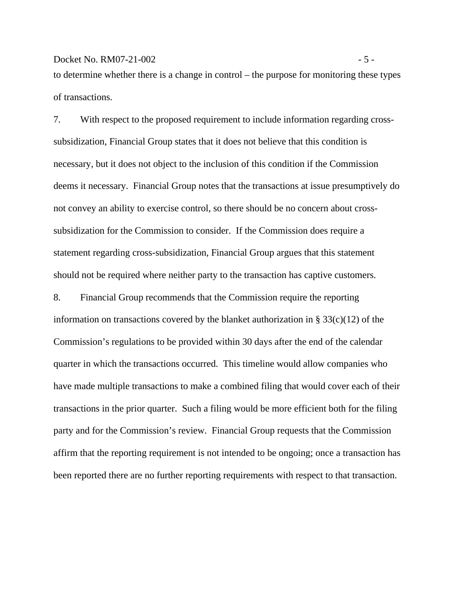#### $Dacket No. RM07-21-002$   $-5-$

to determine whether there is a change in control – the purpose for monitoring these types of transactions.

7. With respect to the proposed requirement to include information regarding crosssubsidization, Financial Group states that it does not believe that this condition is necessary, but it does not object to the inclusion of this condition if the Commission deems it necessary. Financial Group notes that the transactions at issue presumptively do not convey an ability to exercise control, so there should be no concern about crosssubsidization for the Commission to consider. If the Commission does require a statement regarding cross-subsidization, Financial Group argues that this statement should not be required where neither party to the transaction has captive customers.

8. Financial Group recommends that the Commission require the reporting information on transactions covered by the blanket authorization in § 33(c)(12) of the Commission's regulations to be provided within 30 days after the end of the calendar quarter in which the transactions occurred. This timeline would allow companies who have made multiple transactions to make a combined filing that would cover each of their transactions in the prior quarter. Such a filing would be more efficient both for the filing party and for the Commission's review. Financial Group requests that the Commission affirm that the reporting requirement is not intended to be ongoing; once a transaction has been reported there are no further reporting requirements with respect to that transaction.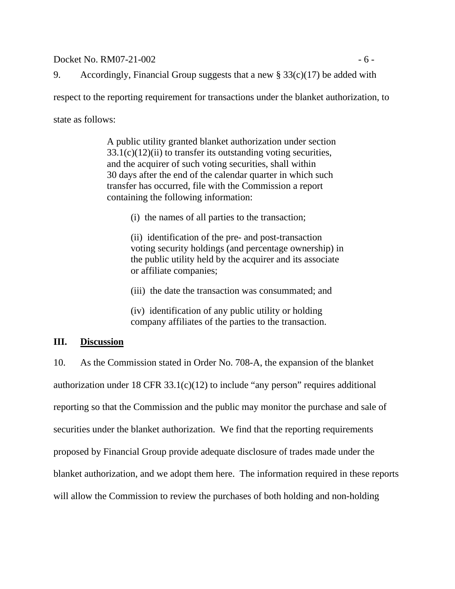$Dacket No. RM07-21-002$  - 6 -

9. Accordingly, Financial Group suggests that a new  $\S 33(c)(17)$  be added with

respect to the reporting requirement for transactions under the blanket authorization, to

state as follows:

A public utility granted blanket authorization under section  $33.1(c)(12)(ii)$  to transfer its outstanding voting securities, and the acquirer of such voting securities, shall within 30 days after the end of the calendar quarter in which such transfer has occurred, file with the Commission a report containing the following information:

(i) the names of all parties to the transaction;

(ii) identification of the pre- and post-transaction voting security holdings (and percentage ownership) in the public utility held by the acquirer and its associate or affiliate companies;

(iii) the date the transaction was consummated; and

(iv) identification of any public utility or holding company affiliates of the parties to the transaction.

## **III. Discussion**

10. As the Commission stated in Order No. 708-A, the expansion of the blanket authorization under 18 CFR 33.1(c)(12) to include "any person" requires additional reporting so that the Commission and the public may monitor the purchase and sale of securities under the blanket authorization. We find that the reporting requirements proposed by Financial Group provide adequate disclosure of trades made under the blanket authorization, and we adopt them here. The information required in these reports will allow the Commission to review the purchases of both holding and non-holding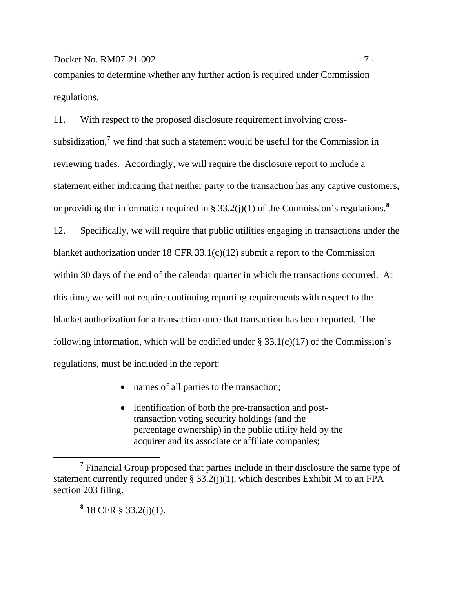# Docket No. RM07-21-002 - 7 -

companies to determine whether any further action is required under Commission regulations.

11. With respect to the proposed disclosure requirement involving crosssubsidization,**[7](#page-8-0)** we find that such a statement would be useful for the Commission in reviewing trades. Accordingly, we will require the disclosure report to include a statement either indicating that neither party to the transaction has any captive customers, or providing the information required in § 33.2(j)(1) of the Commission's regulations.**[8](#page-8-1)**

12. Specifically, we will require that public utilities engaging in transactions under the blanket authorization under 18 CFR 33.1(c)(12) submit a report to the Commission within 30 days of the end of the calendar quarter in which the transactions occurred. At this time, we will not require continuing reporting requirements with respect to the blanket authorization for a transaction once that transaction has been reported. The following information, which will be codified under  $\S 33.1(c)(17)$  of the Commission's regulations, must be included in the report:

- names of all parties to the transaction;
- identification of both the pre-transaction and posttransaction voting security holdings (and the percentage ownership) in the public utility held by the acquirer and its associate or affiliate companies;

**8** 18 CFR § 33.2(j)(1).

 $\overline{a}$ 

<span id="page-8-1"></span><span id="page-8-0"></span><sup>&</sup>lt;sup>7</sup> Financial Group proposed that parties include in their disclosure the same type of statement currently required under  $\S 33.2(i)(1)$ , which describes Exhibit M to an FPA section 203 filing.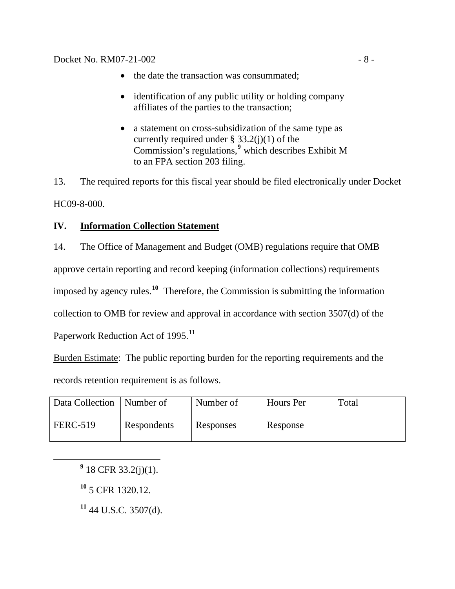- the date the transaction was consummated;
- identification of any public utility or holding company affiliates of the parties to the transaction;
- a statement on cross-subsidization of the same type as currently required under §  $33.2(j)(1)$  of the Commission's regulations,**[9](#page-9-0)** which describes Exhibit M to an FPA section 203 filing.

13. The required reports for this fiscal year should be filed electronically under Docket HC09-8-000.

# **IV. Information Collection Statement**

14. The Office of Management and Budget (OMB) regulations require that OMB approve certain reporting and record keeping (information collections) requirements imposed by agency rules.**[10](#page-9-1)** Therefore, the Commission is submitting the information collection to OMB for review and approval in accordance with section 3507(d) of the

Paperwork Reduction Act of 1995.**[11](#page-9-2)**

Burden Estimate: The public reporting burden for the reporting requirements and the records retention requirement is as follows.

| Data Collection | Number of   | Number of | Hours Per | Total |
|-----------------|-------------|-----------|-----------|-------|
| <b>FERC-519</b> | Respondents | Responses | Response  |       |

<span id="page-9-2"></span><span id="page-9-1"></span><span id="page-9-0"></span> **<sup>9</sup>**  $9$  18 CFR 33.2(j)(1).

**<sup>10</sup>** 5 CFR 1320.12.

**<sup>11</sup>** 44 U.S.C. 3507(d).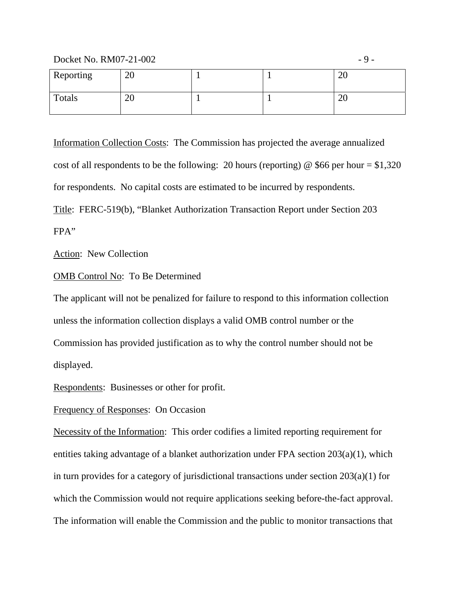$Docket No. RM07-21-002$   $-9-$ 

| Reporting | 20       |  | ററ<br>∠∪ |
|-----------|----------|--|----------|
| Totals    | or<br>∠∪ |  | ററ<br>∠∪ |

Information Collection Costs: The Commission has projected the average annualized cost of all respondents to be the following: 20 hours (reporting) @ \$66 per hour =  $$1,320$ for respondents. No capital costs are estimated to be incurred by respondents. Title:FERC-519(b), "Blanket Authorization Transaction Report under Section 203 FPA"

Action: New Collection

## OMB Control No: To Be Determined

The applicant will not be penalized for failure to respond to this information collection unless the information collection displays a valid OMB control number or the Commission has provided justification as to why the control number should not be displayed.

Respondents: Businesses or other for profit.

## Frequency of Responses: On Occasion

Necessity of the Information:This order codifies a limited reporting requirement for entities taking advantage of a blanket authorization under FPA section 203(a)(1), which in turn provides for a category of jurisdictional transactions under section 203(a)(1) for which the Commission would not require applications seeking before-the-fact approval. The information will enable the Commission and the public to monitor transactions that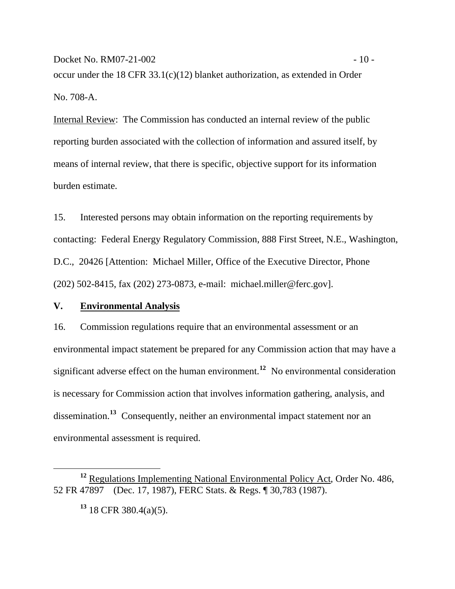Docket No. RM07-21-002 - 10 occur under the 18 CFR 33.1(c)(12) blanket authorization, as extended in Order No. 708-A.

Internal Review:The Commission has conducted an internal review of the public reporting burden associated with the collection of information and assured itself, by means of internal review, that there is specific, objective support for its information burden estimate.

15. Interested persons may obtain information on the reporting requirements by contacting: Federal Energy Regulatory Commission, 888 First Street, N.E., Washington, D.C., 20426 [Attention: Michael Miller, Office of the Executive Director, Phone (202) 502-8415, fax (202) 273-0873, e-mail: michael.miller@ferc.gov].

### **V. Environmental Analysis**

16. Commission regulations require that an environmental assessment or an environmental impact statement be prepared for any Commission action that may have a significant adverse effect on the human environment.**[12](#page-11-0)** No environmental consideration is necessary for Commission action that involves information gathering, analysis, and dissemination.**[13](#page-11-1)** Consequently, neither an environmental impact statement nor an environmental assessment is required.

**<sup>13</sup>** 18 CFR 380.4(a)(5).

<span id="page-11-1"></span><span id="page-11-0"></span>**<sup>12</sup>** Regulations Implementing National Environmental Policy Act, Order No. 486, 52 FR 47897 (Dec. 17, 1987), FERC Stats. & Regs. ¶ 30,783 (1987).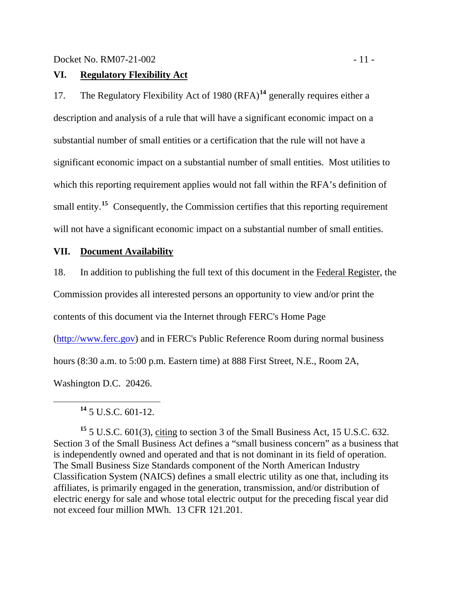## **VI. Regulatory Flexibility Act**

17. The Regulatory Flexibility Act of 1980 (RFA)**[14](#page-12-0)** generally requires either a description and analysis of a rule that will have a significant economic impact on a substantial number of small entities or a certification that the rule will not have a significant economic impact on a substantial number of small entities. Most utilities to which this reporting requirement applies would not fall within the RFA's definition of small entity.**[15](#page-12-1)** Consequently, the Commission certifies that this reporting requirement will not have a significant economic impact on a substantial number of small entities.

## **VII. Document Availability**

18. In addition to publishing the full text of this document in the Federal Register, the

Commission provides all interested persons an opportunity to view and/or print the

contents of this document via the Internet through FERC's Home Page

[\(http://www.ferc.gov\)](http://www.ferc.gov/) and in FERC's Public Reference Room during normal business

hours (8:30 a.m. to 5:00 p.m. Eastern time) at 888 First Street, N.E., Room 2A,

Washington D.C. 20426.

**<sup>14</sup>** 5 U.S.C. 601-12.

<span id="page-12-1"></span><span id="page-12-0"></span>**<sup>15</sup>** 5 U.S.C. 601(3), citing to section 3 of the Small Business Act, 15 U.S.C. 632. Section 3 of the Small Business Act defines a "small business concern" as a business that is independently owned and operated and that is not dominant in its field of operation. The Small Business Size Standards component of the North American Industry Classification System (NAICS) defines a small electric utility as one that, including its affiliates, is primarily engaged in the generation, transmission, and/or distribution of electric energy for sale and whose total electric output for the preceding fiscal year did not exceed four million MWh. 13 CFR 121.201.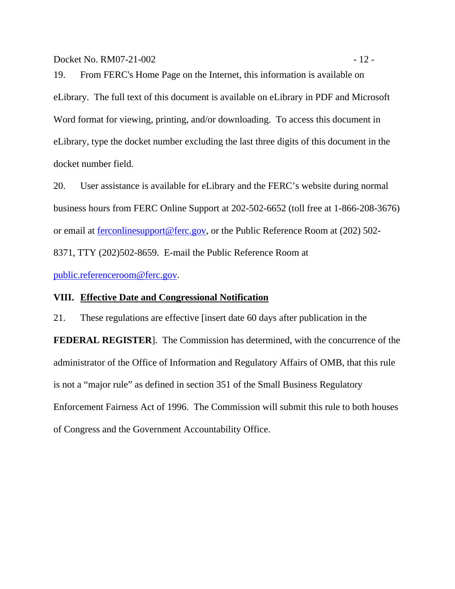Docket No. RM07-21-002 - 12 -

19. From FERC's Home Page on the Internet, this information is available on eLibrary. The full text of this document is available on eLibrary in PDF and Microsoft Word format for viewing, printing, and/or downloading. To access this document in eLibrary, type the docket number excluding the last three digits of this document in the docket number field.

20. User assistance is available for eLibrary and the FERC's website during normal business hours from FERC Online Support at 202-502-6652 (toll free at 1-866-208-3676) or email at [ferconlinesupport@ferc.gov](mailto:ferconlinesupport@ferc.gov), or the Public Reference Room at (202) 502- 8371, TTY (202)502-8659. E-mail the Public Reference Room at

[public.referenceroom@ferc.gov](mailto:public.referenceroom@ferc.gov).

### **VIII. Effective Date and Congressional Notification**

21. These regulations are effective [insert date 60 days after publication in the **FEDERAL REGISTER**]. The Commission has determined, with the concurrence of the administrator of the Office of Information and Regulatory Affairs of OMB, that this rule is not a "major rule" as defined in section 351 of the Small Business Regulatory Enforcement Fairness Act of 1996. The Commission will submit this rule to both houses of Congress and the Government Accountability Office.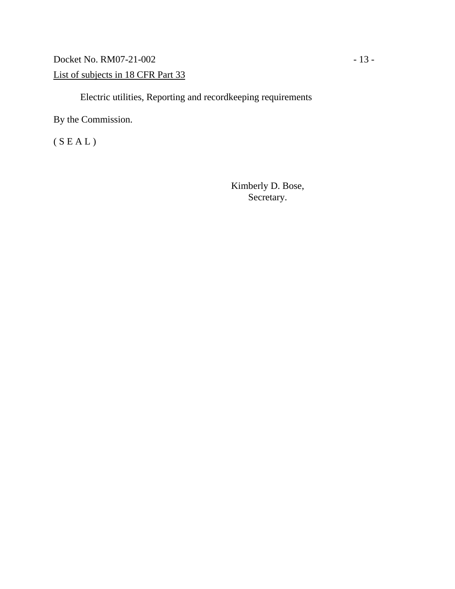Docket No. RM07-21-002 - 13 -List of subjects in 18 CFR Part 33

Electric utilities, Reporting and recordkeeping requirements

By the Commission.

 $(S E A L)$ 

Kimberly D. Bose, Secretary.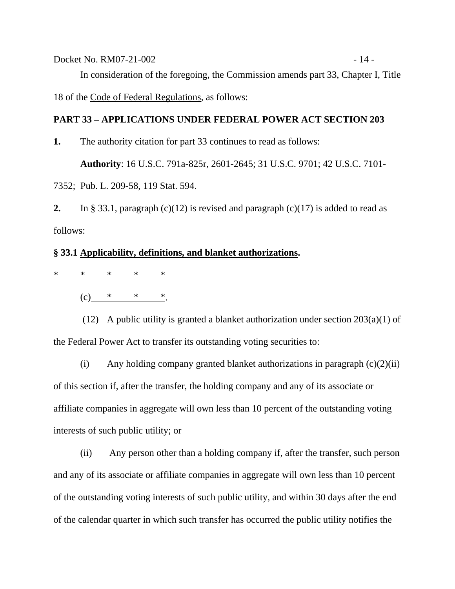Docket No. RM07-21-002 - 14 - In consideration of the foregoing, the Commission amends part 33, Chapter I, Title 18 of the Code of Federal Regulations, as follows:

### **PART 33 – APPLICATIONS UNDER FEDERAL POWER ACT SECTION 203**

**1.** The authority citation for part 33 continues to read as follows:

 **Authority**: 16 U.S.C. 791a-825r, 2601-2645; 31 U.S.C. 9701; 42 U.S.C. 7101-

7352; Pub. L. 209-58, 119 Stat. 594.

**2.** In § 33.1, paragraph (c)(12) is revised and paragraph (c)(17) is added to read as follows:

#### **§ 33.1 Applicability, definitions, and blanket authorizations.**

\* \* \* \* \*

 $(c)$  \* \* \*.

 (12) A public utility is granted a blanket authorization under section 203(a)(1) of the Federal Power Act to transfer its outstanding voting securities to:

(i) Any holding company granted blanket authorizations in paragraph  $(c)(2)(ii)$ of this section if, after the transfer, the holding company and any of its associate or affiliate companies in aggregate will own less than 10 percent of the outstanding voting interests of such public utility; or

 (ii) Any person other than a holding company if, after the transfer, such person and any of its associate or affiliate companies in aggregate will own less than 10 percent of the outstanding voting interests of such public utility, and within 30 days after the end of the calendar quarter in which such transfer has occurred the public utility notifies the